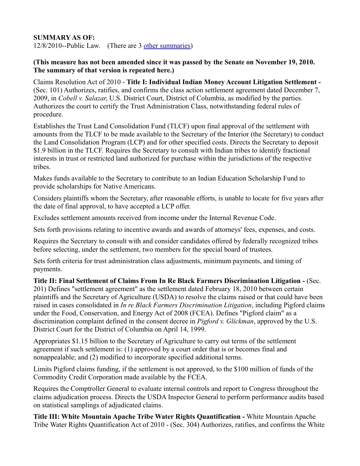## **SUMMARY AS OF:**

12/8/2010--Public Law. (There are 3 [other summaries\)](http://thomas.loc.gov/cgi-bin/bdquery/D?d111:1:./temp/~bdjfPp:@@@D&summ1&%7C/home/LegislativeData.php?n=BSS;c=111%7C)

## **(This measure has not been amended since it was passed by the Senate on November 19, 2010. The summary of that version is repeated here.)**

Claims Resolution Act of 2010 - **Title I: Individual Indian Money Account Litigation Settlement -** (Sec. 101) Authorizes, ratifies, and confirms the class action settlement agreement dated December 7, 2009, in *Cobell v. Salazar*, U.S. District Court, District of Columbia, as modified by the parties. Authorizes the court to certify the Trust Administration Class, notwithstanding federal rules of procedure.

Establishes the Trust Land Consolidation Fund (TLCF) upon final approval of the settlement with amounts from the TLCF to be made available to the Secretary of the Interior (the Secretary) to conduct the Land Consolidation Program (LCP) and for other specified costs. Directs the Secretary to deposit \$1.9 billion in the TLCF. Requires the Secretary to consult with Indian tribes to identify fractional interests in trust or restricted land authorized for purchase within the jurisdictions of the respective tribes.

Makes funds available to the Secretary to contribute to an Indian Education Scholarship Fund to provide scholarships for Native Americans.

Considers plaintiffs whom the Secretary, after reasonable efforts, is unable to locate for five years after the date of final approval, to have accepted a LCP offer.

Excludes settlement amounts received from income under the Internal Revenue Code.

Sets forth provisions relating to incentive awards and awards of attorneys' fees, expenses, and costs.

Requires the Secretary to consult with and consider candidates offered by federally recognized tribes before selecting, under the settlement, two members for the special board of trustees.

Sets forth criteria for trust administration class adjustments, minimum payments, and timing of payments.

**Title II: Final Settlement of Claims From In Re Black Farmers Discrimination Litigation -** (Sec. 201) Defines "settlement agreement" as the settlement dated February 18, 2010 between certain plaintiffs and the Secretary of Agriculture (USDA) to resolve the claims raised or that could have been raised in cases consolidated in *In re Black Farmers Discrimination Litigation*, including Pigford claims under the Food, Conservation, and Energy Act of 2008 (FCEA). Defines "Pigford claim" as a discrimination complaint defined in the consent decree in *Pigford v. Glickman*, approved by the U.S. District Court for the District of Columbia on April 14, 1999.

Appropriates \$1.15 billion to the Secretary of Agriculture to carry out terms of the settlement agreement if such settlement is: (1) approved by a court order that is or becomes final and nonappealable; and (2) modified to incorporate specified additional terms.

Limits Pigford claims funding, if the settlement is not approved, to the \$100 million of funds of the Commodity Credit Corporation made available by the FCEA.

Requires the Comptroller General to evaluate internal controls and report to Congress throughout the claims adjudication process. Directs the USDA Inspector General to perform performance audits based on statistical samplings of adjudicated claims.

**Title III: White Mountain Apache Tribe Water Rights Quantification -** White Mountain Apache Tribe Water Rights Quantification Act of 2010 - (Sec. 304) Authorizes, ratifies, and confirms the White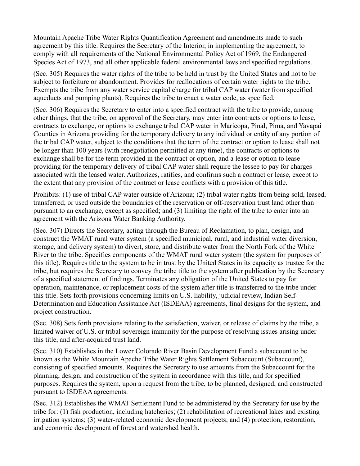Mountain Apache Tribe Water Rights Quantification Agreement and amendments made to such agreement by this title. Requires the Secretary of the Interior, in implementing the agreement, to comply with all requirements of the National Environmental Policy Act of 1969, the Endangered Species Act of 1973, and all other applicable federal environmental laws and specified regulations.

(Sec. 305) Requires the water rights of the tribe to be held in trust by the United States and not to be subject to forfeiture or abandonment. Provides for reallocations of certain water rights to the tribe. Exempts the tribe from any water service capital charge for tribal CAP water (water from specified aqueducts and pumping plants). Requires the tribe to enact a water code, as specified.

(Sec. 306) Requires the Secretary to enter into a specified contract with the tribe to provide, among other things, that the tribe, on approval of the Secretary, may enter into contracts or options to lease, contracts to exchange, or options to exchange tribal CAP water in Maricopa, Pinal, Pima, and Yavapai Counties in Arizona providing for the temporary delivery to any individual or entity of any portion of the tribal CAP water, subject to the conditions that the term of the contract or option to lease shall not be longer than 100 years (with renegotiation permitted at any time), the contracts or options to exchange shall be for the term provided in the contract or option, and a lease or option to lease providing for the temporary delivery of tribal CAP water shall require the lessee to pay for charges associated with the leased water. Authorizes, ratifies, and confirms such a contract or lease, except to the extent that any provision of the contract or lease conflicts with a provision of this title.

Prohibits: (1) use of tribal CAP water outside of Arizona; (2) tribal water rights from being sold, leased, transferred, or used outside the boundaries of the reservation or off-reservation trust land other than pursuant to an exchange, except as specified; and (3) limiting the right of the tribe to enter into an agreement with the Arizona Water Banking Authority.

(Sec. 307) Directs the Secretary, acting through the Bureau of Reclamation, to plan, design, and construct the WMAT rural water system (a specified municipal, rural, and industrial water diversion, storage, and delivery system) to divert, store, and distribute water from the North Fork of the White River to the tribe. Specifies components of the WMAT rural water system (the system for purposes of this title). Requires title to the system to be in trust by the United States in its capacity as trustee for the tribe, but requires the Secretary to convey the tribe title to the system after publication by the Secretary of a specified statement of findings. Terminates any obligation of the United States to pay for operation, maintenance, or replacement costs of the system after title is transferred to the tribe under this title. Sets forth provisions concerning limits on U.S. liability, judicial review, Indian Self-Determination and Education Assistance Act (ISDEAA) agreements, final designs for the system, and project construction.

(Sec. 308) Sets forth provisions relating to the satisfaction, waiver, or release of claims by the tribe, a limited waiver of U.S. or tribal sovereign immunity for the purpose of resolving issues arising under this title, and after-acquired trust land.

(Sec. 310) Establishes in the Lower Colorado River Basin Development Fund a subaccount to be known as the White Mountain Apache Tribe Water Rights Settlement Subaccount (Subaccount), consisting of specified amounts. Requires the Secretary to use amounts from the Subaccount for the planning, design, and construction of the system in accordance with this title, and for specified purposes. Requires the system, upon a request from the tribe, to be planned, designed, and constructed pursuant to ISDEAA agreements.

(Sec. 312) Establishes the WMAT Settlement Fund to be administered by the Secretary for use by the tribe for: (1) fish production, including hatcheries; (2) rehabilitation of recreational lakes and existing irrigation systems; (3) water-related economic development projects; and (4) protection, restoration, and economic development of forest and watershed health.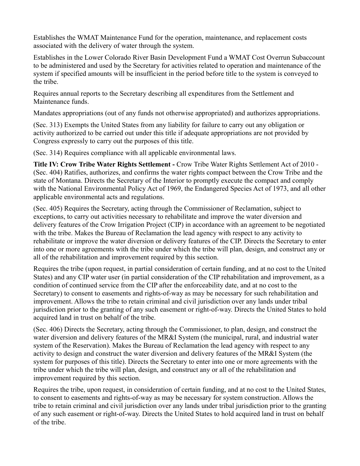Establishes the WMAT Maintenance Fund for the operation, maintenance, and replacement costs associated with the delivery of water through the system.

Establishes in the Lower Colorado River Basin Development Fund a WMAT Cost Overrun Subaccount to be administered and used by the Secretary for activities related to operation and maintenance of the system if specified amounts will be insufficient in the period before title to the system is conveyed to the tribe.

Requires annual reports to the Secretary describing all expenditures from the Settlement and Maintenance funds.

Mandates appropriations (out of any funds not otherwise appropriated) and authorizes appropriations.

(Sec. 313) Exempts the United States from any liability for failure to carry out any obligation or activity authorized to be carried out under this title if adequate appropriations are not provided by Congress expressly to carry out the purposes of this title.

(Sec. 314) Requires compliance with all applicable environmental laws.

**Title IV: Crow Tribe Water Rights Settlement -** Crow Tribe Water Rights Settlement Act of 2010 - (Sec. 404) Ratifies, authorizes, and confirms the water rights compact between the Crow Tribe and the state of Montana. Directs the Secretary of the Interior to promptly execute the compact and comply with the National Environmental Policy Act of 1969, the Endangered Species Act of 1973, and all other applicable environmental acts and regulations.

(Sec. 405) Requires the Secretary, acting through the Commissioner of Reclamation, subject to exceptions, to carry out activities necessary to rehabilitate and improve the water diversion and delivery features of the Crow Irrigation Project (CIP) in accordance with an agreement to be negotiated with the tribe. Makes the Bureau of Reclamation the lead agency with respect to any activity to rehabilitate or improve the water diversion or delivery features of the CIP. Directs the Secretary to enter into one or more agreements with the tribe under which the tribe will plan, design, and construct any or all of the rehabilitation and improvement required by this section.

Requires the tribe (upon request, in partial consideration of certain funding, and at no cost to the United States) and any CIP water user (in partial consideration of the CIP rehabilitation and improvement, as a condition of continued service from the CIP after the enforceability date, and at no cost to the Secretary) to consent to easements and rights-of-way as may be necessary for such rehabilitation and improvement. Allows the tribe to retain criminal and civil jurisdiction over any lands under tribal jurisdiction prior to the granting of any such easement or right-of-way. Directs the United States to hold acquired land in trust on behalf of the tribe.

(Sec. 406) Directs the Secretary, acting through the Commissioner, to plan, design, and construct the water diversion and delivery features of the MR&I System (the municipal, rural, and industrial water system of the Reservation). Makes the Bureau of Reclamation the lead agency with respect to any activity to design and construct the water diversion and delivery features of the MR&I System (the system for purposes of this title). Directs the Secretary to enter into one or more agreements with the tribe under which the tribe will plan, design, and construct any or all of the rehabilitation and improvement required by this section.

Requires the tribe, upon request, in consideration of certain funding, and at no cost to the United States, to consent to easements and rights-of-way as may be necessary for system construction. Allows the tribe to retain criminal and civil jurisdiction over any lands under tribal jurisdiction prior to the granting of any such easement or right-of-way. Directs the United States to hold acquired land in trust on behalf of the tribe.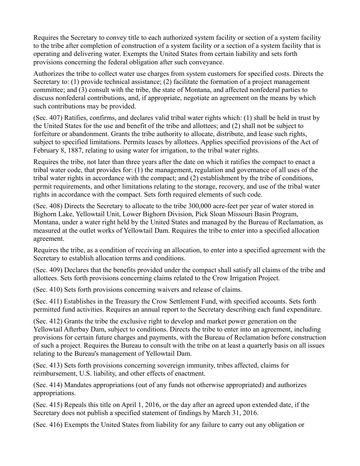Requires the Secretary to convey title to each authorized system facility or section of a system facility to the tribe after completion of construction of a system facility or a section of a system facility that is operating and delivering water. Exempts the United States from certain liability and sets forth provisions concerning the federal obligation after such conveyance.

Authorizes the tribe to collect water use charges from system customers for specified costs. Directs the Secretary to: (1) provide technical assistance; (2) facilitate the formation of a project management committee; and (3) consult with the tribe, the state of Montana, and affected nonfederal parties to discuss nonfederal contributions, and, if appropriate, negotiate an agreement on the means by which such contributions may be provided.

(Sec. 407) Ratifies, confirms, and declares valid tribal water rights which: (1) shall be held in trust by the United States for the use and benefit of the tribe and allottees; and (2) shall not be subject to forfeiture or abandonment. Grants the tribe authority to allocate, distribute, and lease such rights, subject to specified limitations. Permits leases by allottees. Applies specified provisions of the Act of February 8, 1887, relating to using water for irrigation, to the tribal water rights.

Requires the tribe, not later than three years after the date on which it ratifies the compact to enact a tribal water code, that provides for: (1) the management, regulation and governance of all uses of the tribal water rights in accordance with the compact; and (2) establishment by the tribe of conditions, permit requirements, and other limitations relating to the storage, recovery, and use of the tribal water rights in accordance with the compact. Sets forth required elements of such code.

(Sec. 408) Directs the Secretary to allocate to the tribe 300,000 acre-feet per year of water stored in Bighorn Lake, Yellowtail Unit, Lower Bighorn Division, Pick Sloan Missouri Basin Program, Montana, under a water right held by the United States and managed by the Bureau of Reclamation, as measured at the outlet works of Yellowtail Dam. Requires the tribe to enter into a specified allocation agreement.

Requires the tribe, as a condition of receiving an allocation, to enter into a specified agreement with the Secretary to establish allocation terms and conditions.

(Sec. 409) Declares that the benefits provided under the compact shall satisfy all claims of the tribe and allottees. Sets forth provisions concerning claims related to the Crow Irrigation Project.

(Sec. 410) Sets forth provisions concerning waivers and release of claims.

(Sec. 411) Establishes in the Treasury the Crow Settlement Fund, with specified accounts. Sets forth permitted fund activities. Requires an annual report to the Secretary describing each fund expenditure.

(Sec. 412) Grants the tribe the exclusive right to develop and market power generation on the Yellowtail Afterbay Dam, subject to conditions. Directs the tribe to enter into an agreement, including provisions for certain future charges and payments, with the Bureau of Reclamation before construction of such a project. Requires the Bureau to consult with the tribe on at least a quarterly basis on all issues relating to the Bureau's management of Yellowtail Dam.

(Sec. 413) Sets forth provisions concerning sovereign immunity, tribes affected, claims for reimbursement, U.S. liability, and other effects of enactment.

(Sec. 414) Mandates appropriations (out of any funds not otherwise appropriated) and authorizes appropriations.

(Sec. 415) Repeals this title on April 1, 2016, or the day after an agreed upon extended date, if the Secretary does not publish a specified statement of findings by March 31, 2016.

(Sec. 416) Exempts the United States from liability for any failure to carry out any obligation or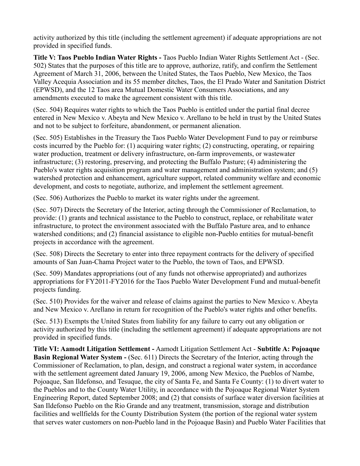activity authorized by this title (including the settlement agreement) if adequate appropriations are not provided in specified funds.

**Title V: Taos Pueblo Indian Water Rights -** Taos Pueblo Indian Water Rights Settlement Act - (Sec. 502) States that the purposes of this title are to approve, authorize, ratify, and confirm the Settlement Agreement of March 31, 2006, between the United States, the Taos Pueblo, New Mexico, the Taos Valley Acequia Association and its 55 member ditches, Taos, the El Prado Water and Sanitation District (EPWSD), and the 12 Taos area Mutual Domestic Water Consumers Associations, and any amendments executed to make the agreement consistent with this title.

(Sec. 504) Requires water rights to which the Taos Pueblo is entitled under the partial final decree entered in New Mexico v. Abeyta and New Mexico v. Arellano to be held in trust by the United States and not to be subject to forfeiture, abandonment, or permanent alienation.

(Sec. 505) Establishes in the Treasury the Taos Pueblo Water Development Fund to pay or reimburse costs incurred by the Pueblo for: (1) acquiring water rights; (2) constructing, operating, or repairing water production, treatment or delivery infrastructure, on-farm improvements, or wastewater infrastructure; (3) restoring, preserving, and protecting the Buffalo Pasture; (4) administering the Pueblo's water rights acquisition program and water management and administration system; and (5) watershed protection and enhancement, agriculture support, related community welfare and economic development, and costs to negotiate, authorize, and implement the settlement agreement.

(Sec. 506) Authorizes the Pueblo to market its water rights under the agreement.

(Sec. 507) Directs the Secretary of the Interior, acting through the Commissioner of Reclamation, to provide: (1) grants and technical assistance to the Pueblo to construct, replace, or rehabilitate water infrastructure, to protect the environment associated with the Buffalo Pasture area, and to enhance watershed conditions; and (2) financial assistance to eligible non-Pueblo entities for mutual-benefit projects in accordance with the agreement.

(Sec. 508) Directs the Secretary to enter into three repayment contracts for the delivery of specified amounts of San Juan-Chama Project water to the Pueblo, the town of Taos, and EPWSD.

(Sec. 509) Mandates appropriations (out of any funds not otherwise appropriated) and authorizes appropriations for FY2011-FY2016 for the Taos Pueblo Water Development Fund and mutual-benefit projects funding.

(Sec. 510) Provides for the waiver and release of claims against the parties to New Mexico v. Abeyta and New Mexico v. Arellano in return for recognition of the Pueblo's water rights and other benefits.

(Sec. 513) Exempts the United States from liability for any failure to carry out any obligation or activity authorized by this title (including the settlement agreement) if adequate appropriations are not provided in specified funds.

**Title VI: Aamodt Litigation Settlement -** Aamodt Litigation Settlement Act - **Subtitle A: Pojoaque Basin Regional Water System -** (Sec. 611) Directs the Secretary of the Interior, acting through the Commissioner of Reclamation, to plan, design, and construct a regional water system, in accordance with the settlement agreement dated January 19, 2006, among New Mexico, the Pueblos of Nambe, Pojoaque, San Ildefonso, and Tesuque, the city of Santa Fe, and Santa Fe County: (1) to divert water to the Pueblos and to the County Water Utility, in accordance with the Pojoaque Regional Water System Engineering Report, dated September 2008; and (2) that consists of surface water diversion facilities at San Ildefonso Pueblo on the Rio Grande and any treatment, transmission, storage and distribution facilities and wellfields for the County Distribution System (the portion of the regional water system that serves water customers on non-Pueblo land in the Pojoaque Basin) and Pueblo Water Facilities that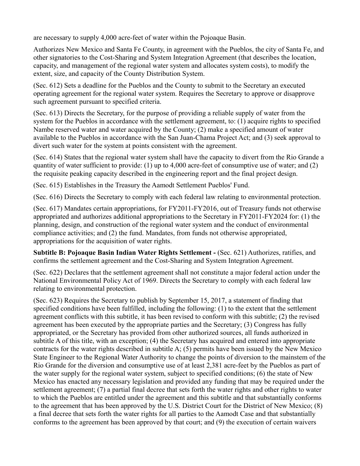are necessary to supply 4,000 acre-feet of water within the Pojoaque Basin.

Authorizes New Mexico and Santa Fe County, in agreement with the Pueblos, the city of Santa Fe, and other signatories to the Cost-Sharing and System Integration Agreement (that describes the location, capacity, and management of the regional water system and allocates system costs), to modify the extent, size, and capacity of the County Distribution System.

(Sec. 612) Sets a deadline for the Pueblos and the County to submit to the Secretary an executed operating agreement for the regional water system. Requires the Secretary to approve or disapprove such agreement pursuant to specified criteria.

(Sec. 613) Directs the Secretary, for the purpose of providing a reliable supply of water from the system for the Pueblos in accordance with the settlement agreement, to: (1) acquire rights to specified Nambe reserved water and water acquired by the County; (2) make a specified amount of water available to the Pueblos in accordance with the San Juan-Chama Project Act; and (3) seek approval to divert such water for the system at points consistent with the agreement.

(Sec. 614) States that the regional water system shall have the capacity to divert from the Rio Grande a quantity of water sufficient to provide: (1) up to 4,000 acre-feet of consumptive use of water; and (2) the requisite peaking capacity described in the engineering report and the final project design.

(Sec. 615) Establishes in the Treasury the Aamodt Settlement Pueblos' Fund.

(Sec. 616) Directs the Secretary to comply with each federal law relating to environmental protection.

(Sec. 617) Mandates certain appropriations, for FY2011-FY2016, out of Treasury funds not otherwise appropriated and authorizes additional appropriations to the Secretary in FY2011-FY2024 for: (1) the planning, design, and construction of the regional water system and the conduct of environmental compliance activities; and (2) the fund. Mandates, from funds not otherwise appropriated, appropriations for the acquisition of water rights.

**Subtitle B: Pojoaque Basin Indian Water Rights Settlement -** (Sec. 621) Authorizes, ratifies, and confirms the settlement agreement and the Cost-Sharing and System Integration Agreement.

(Sec. 622) Declares that the settlement agreement shall not constitute a major federal action under the National Environmental Policy Act of 1969. Directs the Secretary to comply with each federal law relating to environmental protection.

(Sec. 623) Requires the Secretary to publish by September 15, 2017, a statement of finding that specified conditions have been fulfilled, including the following: (1) to the extent that the settlement agreement conflicts with this subtitle, it has been revised to conform with this subtitle; (2) the revised agreement has been executed by the appropriate parties and the Secretary; (3) Congress has fully appropriated, or the Secretary has provided from other authorized sources, all funds authorized in subtitle A of this title, with an exception; (4) the Secretary has acquired and entered into appropriate contracts for the water rights described in subtitle A; (5) permits have been issued by the New Mexico State Engineer to the Regional Water Authority to change the points of diversion to the mainstem of the Rio Grande for the diversion and consumptive use of at least 2,381 acre-feet by the Pueblos as part of the water supply for the regional water system, subject to specified conditions; (6) the state of New Mexico has enacted any necessary legislation and provided any funding that may be required under the settlement agreement; (7) a partial final decree that sets forth the water rights and other rights to water to which the Pueblos are entitled under the agreement and this subtitle and that substantially conforms to the agreement that has been approved by the U.S. District Court for the District of New Mexico; (8) a final decree that sets forth the water rights for all parties to the Aamodt Case and that substantially conforms to the agreement has been approved by that court; and (9) the execution of certain waivers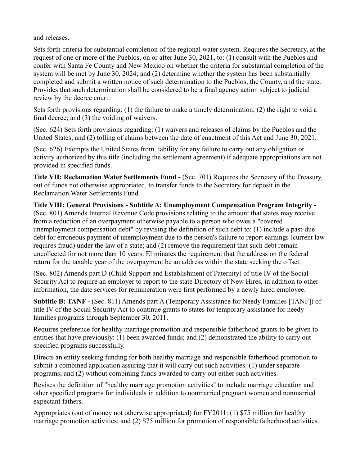and releases.

Sets forth criteria for substantial completion of the regional water system. Requires the Secretary, at the request of one or more of the Pueblos, on or after June 30, 2021, to: (1) consult with the Pueblos and confer with Santa Fe County and New Mexico on whether the criteria for substantial completion of the system will be met by June 30, 2024; and (2) determine whether the system has been substantially completed and submit a written notice of such determination to the Pueblos, the County, and the state. Provides that such determination shall be considered to be a final agency action subject to judicial review by the decree court.

Sets forth provisions regarding: (1) the failure to make a timely determination; (2) the right to void a final decree; and (3) the voiding of waivers.

(Sec. 624) Sets forth provisions regarding: (1) waivers and releases of claims by the Pueblos and the United States; and (2) tolling of claims between the date of enactment of this Act and June 30, 2021.

(Sec. 626) Exempts the United States from liability for any failure to carry out any obligation or activity authorized by this title (including the settlement agreement) if adequate appropriations are not provided in specified funds.

**Title VII: Reclamation Water Settlements Fund - (Sec. 701) Requires the Secretary of the Treasury,** out of funds not otherwise appropriated, to transfer funds to the Secretary for deposit in the Reclamation Water Settlements Fund.

**Title VIII: General Provisions - Subtitle A: Unemployment Compensation Program Integrity -** (Sec. 801) Amends Internal Revenue Code provisions relating to the amount that states may receive from a reduction of an overpayment otherwise payable to a person who owes a "covered unemployment compensation debt" by revising the definition of such debt to: (1) include a past-due debt for erroneous payment of unemployment due to the person's failure to report earnings (current law requires fraud) under the law of a state; and (2) remove the requirement that such debt remain uncollected for not more than 10 years. Eliminates the requirement that the address on the federal return for the taxable year of the overpayment be an address within the state seeking the offset.

(Sec. 802) Amends part D (Child Support and Establishment of Paternity) of title IV of the Social Security Act to require an employer to report to the state Directory of New Hires, in addition to other information, the date services for remuneration were first performed by a newly hired employee.

**Subtitle B: TANF -** (Sec. 811) Amends part A (Temporary Assistance for Needy Families [TANF]) of title IV of the Social Security Act to continue grants to states for temporary assistance for needy families programs through September 30, 2011.

Requires preference for healthy marriage promotion and responsible fatherhood grants to be given to entities that have previously: (1) been awarded funds; and (2) demonstrated the ability to carry out specified programs successfully.

Directs an entity seeking funding for both healthy marriage and responsible fatherhood promotion to submit a combined application assuring that it will carry out such activities: (1) under separate programs; and (2) without combining funds awarded to carry out either such activities.

Revises the definition of "healthy marriage promotion activities" to include marriage education and other specified programs for individuals in addition to nonmarried pregnant women and nonmarried expectant fathers.

Appropriates (out of money not otherwise appropriated) for FY2011: (1) \$75 million for healthy marriage promotion activities; and (2) \$75 million for promotion of responsible fatherhood activities.